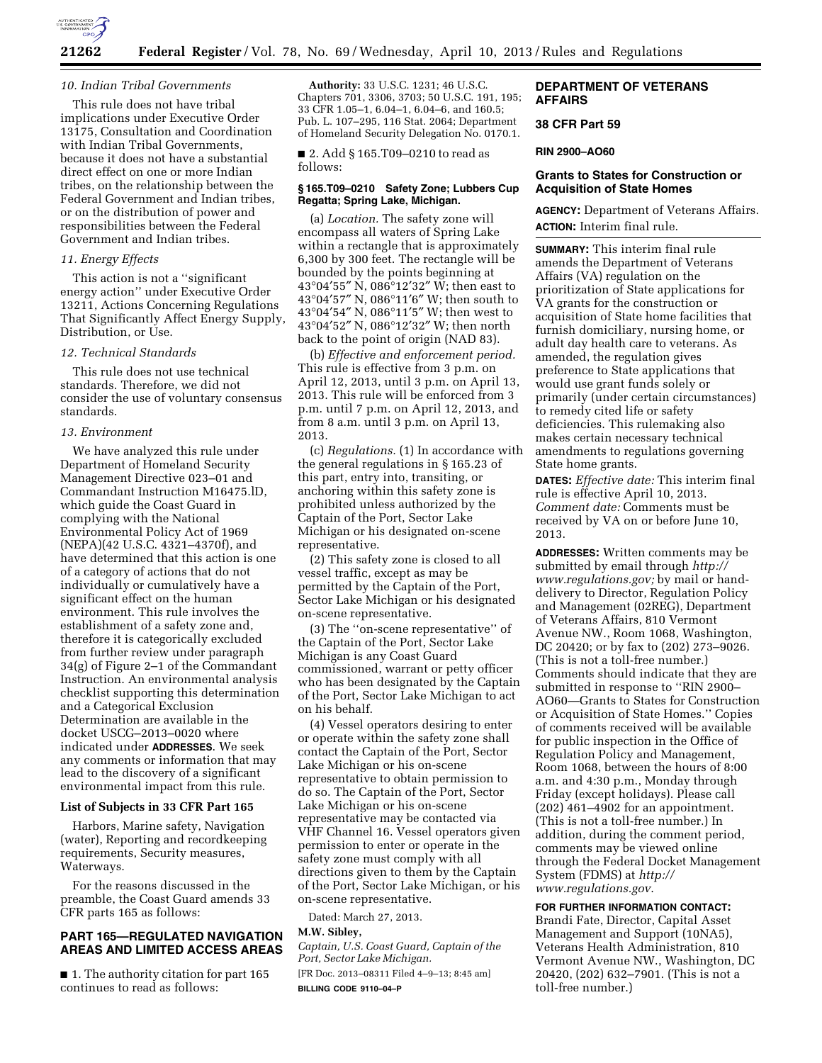

## *10. Indian Tribal Governments*

This rule does not have tribal implications under Executive Order 13175, Consultation and Coordination with Indian Tribal Governments, because it does not have a substantial direct effect on one or more Indian tribes, on the relationship between the Federal Government and Indian tribes, or on the distribution of power and responsibilities between the Federal Government and Indian tribes.

## *11. Energy Effects*

This action is not a ''significant energy action'' under Executive Order 13211, Actions Concerning Regulations That Significantly Affect Energy Supply, Distribution, or Use.

# *12. Technical Standards*

This rule does not use technical standards. Therefore, we did not consider the use of voluntary consensus standards.

## *13. Environment*

We have analyzed this rule under Department of Homeland Security Management Directive 023–01 and Commandant Instruction M16475.lD, which guide the Coast Guard in complying with the National Environmental Policy Act of 1969 (NEPA)(42 U.S.C. 4321–4370f), and have determined that this action is one of a category of actions that do not individually or cumulatively have a significant effect on the human environment. This rule involves the establishment of a safety zone and, therefore it is categorically excluded from further review under paragraph 34(g) of Figure 2–1 of the Commandant Instruction. An environmental analysis checklist supporting this determination and a Categorical Exclusion Determination are available in the docket USCG–2013–0020 where indicated under **ADDRESSES**. We seek any comments or information that may lead to the discovery of a significant environmental impact from this rule.

#### **List of Subjects in 33 CFR Part 165**

Harbors, Marine safety, Navigation (water), Reporting and recordkeeping requirements, Security measures, Waterways.

For the reasons discussed in the preamble, the Coast Guard amends 33 CFR parts 165 as follows:

# **PART 165—REGULATED NAVIGATION AREAS AND LIMITED ACCESS AREAS**

■ 1. The authority citation for part 165 continues to read as follows:

**Authority:** 33 U.S.C. 1231; 46 U.S.C. Chapters 701, 3306, 3703; 50 U.S.C. 191, 195; 33 CFR 1.05–1, 6.04–1, 6.04–6, and 160.5; Pub. L. 107–295, 116 Stat. 2064; Department of Homeland Security Delegation No. 0170.1.

■ 2. Add § 165.T09–0210 to read as follows:

## **§ 165.T09–0210 Safety Zone; Lubbers Cup Regatta; Spring Lake, Michigan.**

(a) *Location.* The safety zone will encompass all waters of Spring Lake within a rectangle that is approximately 6,300 by 300 feet. The rectangle will be bounded by the points beginning at 43°04′55″ N, 086°12′32″ W; then east to 43°04′57″ N, 086°11′6″ W; then south to 43°04′54″ N, 086°11′5″ W; then west to 43°04′52″ N, 086°12′32″ W; then north back to the point of origin (NAD 83).

(b) *Effective and enforcement period.*  This rule is effective from 3 p.m. on April 12, 2013, until 3 p.m. on April 13, 2013. This rule will be enforced from 3 p.m. until 7 p.m. on April 12, 2013, and from 8 a.m. until 3 p.m. on April 13, 2013.

(c) *Regulations.* (1) In accordance with the general regulations in § 165.23 of this part, entry into, transiting, or anchoring within this safety zone is prohibited unless authorized by the Captain of the Port, Sector Lake Michigan or his designated on-scene representative.

(2) This safety zone is closed to all vessel traffic, except as may be permitted by the Captain of the Port, Sector Lake Michigan or his designated on-scene representative.

(3) The ''on-scene representative'' of the Captain of the Port, Sector Lake Michigan is any Coast Guard commissioned, warrant or petty officer who has been designated by the Captain of the Port, Sector Lake Michigan to act on his behalf.

(4) Vessel operators desiring to enter or operate within the safety zone shall contact the Captain of the Port, Sector Lake Michigan or his on-scene representative to obtain permission to do so. The Captain of the Port, Sector Lake Michigan or his on-scene representative may be contacted via VHF Channel 16. Vessel operators given permission to enter or operate in the safety zone must comply with all directions given to them by the Captain of the Port, Sector Lake Michigan, or his on-scene representative.

Dated: March 27, 2013.

#### **M.W. Sibley,**

*Captain, U.S. Coast Guard, Captain of the Port, Sector Lake Michigan.*  [FR Doc. 2013–08311 Filed 4–9–13; 8:45 am] **BILLING CODE 9110–04–P** 

## **DEPARTMENT OF VETERANS AFFAIRS**

#### **38 CFR Part 59**

#### **RIN 2900–AO60**

# **Grants to States for Construction or Acquisition of State Homes**

**AGENCY:** Department of Veterans Affairs. **ACTION:** Interim final rule.

**SUMMARY:** This interim final rule amends the Department of Veterans Affairs (VA) regulation on the prioritization of State applications for VA grants for the construction or acquisition of State home facilities that furnish domiciliary, nursing home, or adult day health care to veterans. As amended, the regulation gives preference to State applications that would use grant funds solely or primarily (under certain circumstances) to remedy cited life or safety deficiencies. This rulemaking also makes certain necessary technical amendments to regulations governing State home grants.

**DATES:** *Effective date:* This interim final rule is effective April 10, 2013. *Comment date:* Comments must be received by VA on or before June 10, 2013.

**ADDRESSES:** Written comments may be submitted by email through *[http://](http://www.regulations.gov) [www.regulations.gov;](http://www.regulations.gov)* by mail or handdelivery to Director, Regulation Policy and Management (02REG), Department of Veterans Affairs, 810 Vermont Avenue NW., Room 1068, Washington, DC 20420; or by fax to (202) 273–9026. (This is not a toll-free number.) Comments should indicate that they are submitted in response to ''RIN 2900– AO60—Grants to States for Construction or Acquisition of State Homes.'' Copies of comments received will be available for public inspection in the Office of Regulation Policy and Management, Room 1068, between the hours of 8:00 a.m. and 4:30 p.m., Monday through Friday (except holidays). Please call (202) 461–4902 for an appointment. (This is not a toll-free number.) In addition, during the comment period, comments may be viewed online through the Federal Docket Management System (FDMS) at *[http://](http://www.regulations.gov) [www.regulations.gov](http://www.regulations.gov)*.

## **FOR FURTHER INFORMATION CONTACT:**

Brandi Fate, Director, Capital Asset Management and Support (10NA5), Veterans Health Administration, 810 Vermont Avenue NW., Washington, DC 20420, (202) 632–7901. (This is not a toll-free number.)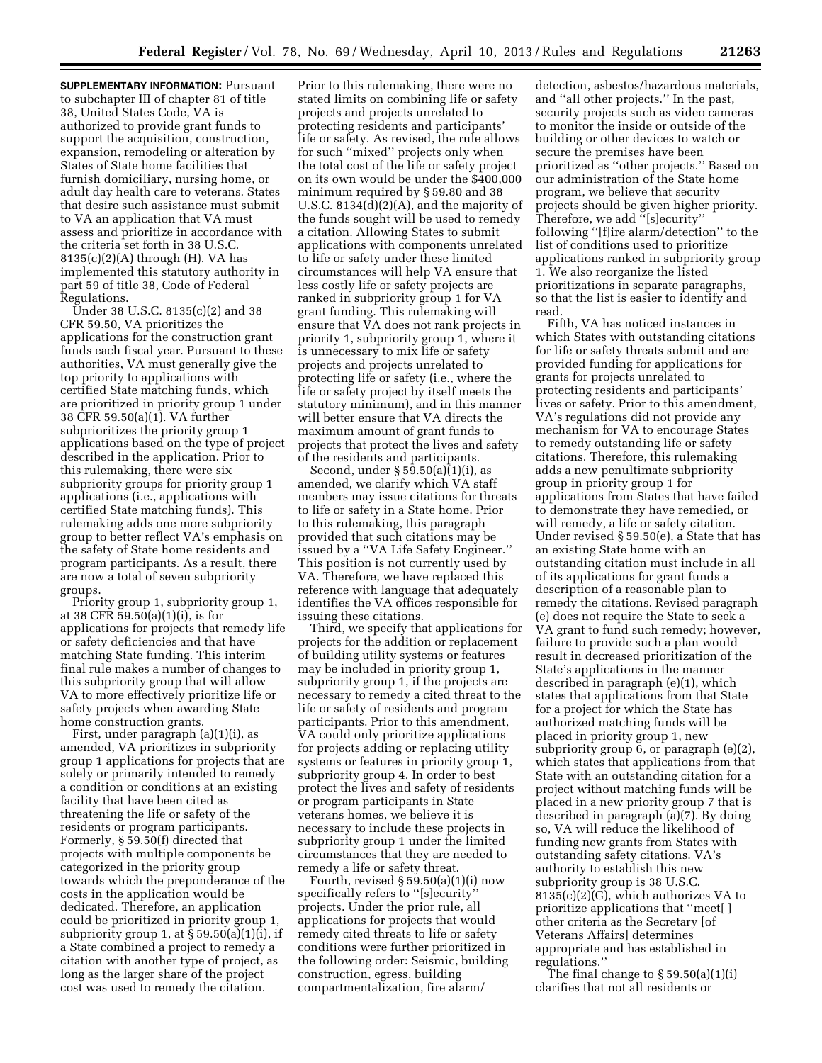**SUPPLEMENTARY INFORMATION: Pursuant** to subchapter III of chapter 81 of title 38, United States Code, VA is authorized to provide grant funds to support the acquisition, construction, expansion, remodeling or alteration by States of State home facilities that furnish domiciliary, nursing home, or adult day health care to veterans. States that desire such assistance must submit to VA an application that VA must assess and prioritize in accordance with the criteria set forth in 38 U.S.C.  $8135(c)(2)(A)$  through (H). VA has implemented this statutory authority in part 59 of title 38, Code of Federal Regulations.

Under 38 U.S.C. 8135(c)(2) and 38 CFR 59.50, VA prioritizes the applications for the construction grant funds each fiscal year. Pursuant to these authorities, VA must generally give the top priority to applications with certified State matching funds, which are prioritized in priority group 1 under 38 CFR 59.50(a)(1). VA further subprioritizes the priority group 1 applications based on the type of project described in the application. Prior to this rulemaking, there were six subpriority groups for priority group 1 applications (i.e., applications with certified State matching funds). This rulemaking adds one more subpriority group to better reflect VA's emphasis on the safety of State home residents and program participants. As a result, there are now a total of seven subpriority groups.

Priority group 1, subpriority group 1, at 38 CFR 59.50(a)(1)(i), is for applications for projects that remedy life or safety deficiencies and that have matching State funding. This interim final rule makes a number of changes to this subpriority group that will allow VA to more effectively prioritize life or safety projects when awarding State home construction grants.

First, under paragraph (a)(1)(i), as amended, VA prioritizes in subpriority group 1 applications for projects that are solely or primarily intended to remedy a condition or conditions at an existing facility that have been cited as threatening the life or safety of the residents or program participants. Formerly, § 59.50(f) directed that projects with multiple components be categorized in the priority group towards which the preponderance of the costs in the application would be dedicated. Therefore, an application could be prioritized in priority group 1, subpriority group 1, at  $\S 59.50(a)(1)(i)$ , if a State combined a project to remedy a citation with another type of project, as long as the larger share of the project cost was used to remedy the citation.

Prior to this rulemaking, there were no stated limits on combining life or safety projects and projects unrelated to protecting residents and participants' life or safety. As revised, the rule allows for such ''mixed'' projects only when the total cost of the life or safety project on its own would be under the \$400,000 minimum required by § 59.80 and 38 U.S.C. 8134(d)(2)(A), and the majority of the funds sought will be used to remedy a citation. Allowing States to submit applications with components unrelated to life or safety under these limited circumstances will help VA ensure that less costly life or safety projects are ranked in subpriority group 1 for VA grant funding. This rulemaking will ensure that VA does not rank projects in priority 1, subpriority group 1, where it is unnecessary to mix life or safety projects and projects unrelated to protecting life or safety (i.e., where the life or safety project by itself meets the statutory minimum), and in this manner will better ensure that VA directs the maximum amount of grant funds to projects that protect the lives and safety of the residents and participants.

Second, under  $\S 5\overline{9}$ .50(a)(1)(i), as amended, we clarify which VA staff members may issue citations for threats to life or safety in a State home. Prior to this rulemaking, this paragraph provided that such citations may be issued by a ''VA Life Safety Engineer.'' This position is not currently used by VA. Therefore, we have replaced this reference with language that adequately identifies the VA offices responsible for issuing these citations.

Third, we specify that applications for projects for the addition or replacement of building utility systems or features may be included in priority group 1, subpriority group 1, if the projects are necessary to remedy a cited threat to the life or safety of residents and program participants. Prior to this amendment, VA could only prioritize applications for projects adding or replacing utility systems or features in priority group 1, subpriority group 4. In order to best protect the lives and safety of residents or program participants in State veterans homes, we believe it is necessary to include these projects in subpriority group 1 under the limited circumstances that they are needed to remedy a life or safety threat.

Fourth, revised § 59.50(a)(1)(i) now specifically refers to ''[s]ecurity'' projects. Under the prior rule, all applications for projects that would remedy cited threats to life or safety conditions were further prioritized in the following order: Seismic, building construction, egress, building compartmentalization, fire alarm/

detection, asbestos/hazardous materials, and ''all other projects.'' In the past, security projects such as video cameras to monitor the inside or outside of the building or other devices to watch or secure the premises have been prioritized as ''other projects.'' Based on our administration of the State home program, we believe that security projects should be given higher priority. Therefore, we add ''[s]ecurity'' following ''[f]ire alarm/detection'' to the list of conditions used to prioritize applications ranked in subpriority group 1. We also reorganize the listed prioritizations in separate paragraphs, so that the list is easier to identify and read.

Fifth, VA has noticed instances in which States with outstanding citations for life or safety threats submit and are provided funding for applications for grants for projects unrelated to protecting residents and participants' lives or safety. Prior to this amendment, VA's regulations did not provide any mechanism for VA to encourage States to remedy outstanding life or safety citations. Therefore, this rulemaking adds a new penultimate subpriority group in priority group 1 for applications from States that have failed to demonstrate they have remedied, or will remedy, a life or safety citation. Under revised § 59.50(e), a State that has an existing State home with an outstanding citation must include in all of its applications for grant funds a description of a reasonable plan to remedy the citations. Revised paragraph (e) does not require the State to seek a VA grant to fund such remedy; however, failure to provide such a plan would result in decreased prioritization of the State's applications in the manner described in paragraph (e)(1), which states that applications from that State for a project for which the State has authorized matching funds will be placed in priority group 1, new subpriority group 6, or paragraph (e)(2), which states that applications from that State with an outstanding citation for a project without matching funds will be placed in a new priority group 7 that is described in paragraph (a)(7). By doing so, VA will reduce the likelihood of funding new grants from States with outstanding safety citations. VA's authority to establish this new subpriority group is 38 U.S.C. 8135(c)(2)(G), which authorizes VA to prioritize applications that ''meet[ ] other criteria as the Secretary [of Veterans Affairs] determines appropriate and has established in regulations.''

The final change to  $\S 59.50(a)(1)(i)$ clarifies that not all residents or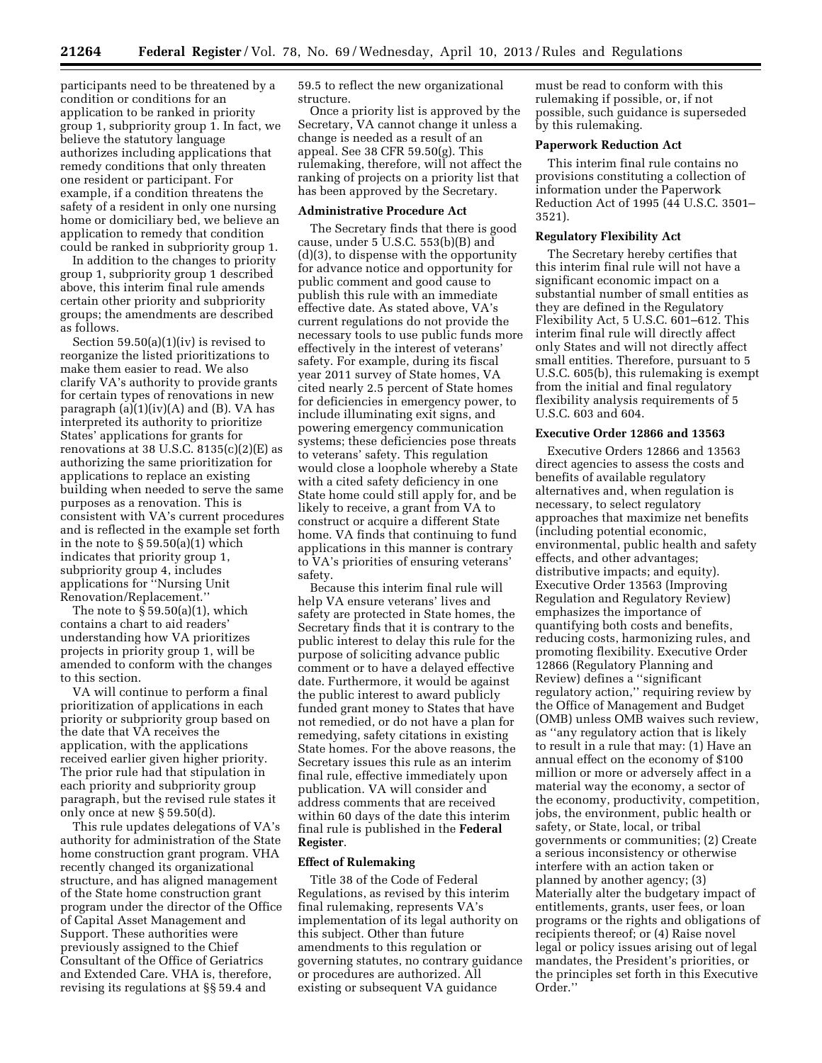participants need to be threatened by a condition or conditions for an application to be ranked in priority group 1, subpriority group 1. In fact, we believe the statutory language authorizes including applications that remedy conditions that only threaten one resident or participant. For example, if a condition threatens the safety of a resident in only one nursing home or domiciliary bed, we believe an application to remedy that condition could be ranked in subpriority group 1.

In addition to the changes to priority group 1, subpriority group 1 described above, this interim final rule amends certain other priority and subpriority groups; the amendments are described as follows.

Section 59.50(a)(1)(iv) is revised to reorganize the listed prioritizations to make them easier to read. We also clarify VA's authority to provide grants for certain types of renovations in new paragraph  $(a)(1)(iv)(A)$  and  $(B)$ . VA has interpreted its authority to prioritize States' applications for grants for renovations at 38 U.S.C.  $8135(c)(2)(E)$  as authorizing the same prioritization for applications to replace an existing building when needed to serve the same purposes as a renovation. This is consistent with VA's current procedures and is reflected in the example set forth in the note to  $\S 59.50(a)(1)$  which indicates that priority group 1, subpriority group 4, includes applications for ''Nursing Unit Renovation/Replacement.''

The note to  $\S 59.50(a)(1)$ , which contains a chart to aid readers' understanding how VA prioritizes projects in priority group 1, will be amended to conform with the changes to this section.

VA will continue to perform a final prioritization of applications in each priority or subpriority group based on the date that VA receives the application, with the applications received earlier given higher priority. The prior rule had that stipulation in each priority and subpriority group paragraph, but the revised rule states it only once at new § 59.50(d).

This rule updates delegations of VA's authority for administration of the State home construction grant program. VHA recently changed its organizational structure, and has aligned management of the State home construction grant program under the director of the Office of Capital Asset Management and Support. These authorities were previously assigned to the Chief Consultant of the Office of Geriatrics and Extended Care. VHA is, therefore, revising its regulations at §§ 59.4 and

59.5 to reflect the new organizational structure.

Once a priority list is approved by the Secretary, VA cannot change it unless a change is needed as a result of an appeal. See 38 CFR 59.50(g). This rulemaking, therefore, will not affect the ranking of projects on a priority list that has been approved by the Secretary.

# **Administrative Procedure Act**

The Secretary finds that there is good cause, under  $5$  U.S.C.  $553(b)(B)$  and (d)(3), to dispense with the opportunity for advance notice and opportunity for public comment and good cause to publish this rule with an immediate effective date. As stated above, VA's current regulations do not provide the necessary tools to use public funds more effectively in the interest of veterans' safety. For example, during its fiscal year 2011 survey of State homes, VA cited nearly 2.5 percent of State homes for deficiencies in emergency power, to include illuminating exit signs, and powering emergency communication systems; these deficiencies pose threats to veterans' safety. This regulation would close a loophole whereby a State with a cited safety deficiency in one State home could still apply for, and be likely to receive, a grant from VA to construct or acquire a different State home. VA finds that continuing to fund applications in this manner is contrary to VA's priorities of ensuring veterans' safety.

Because this interim final rule will help VA ensure veterans' lives and safety are protected in State homes, the Secretary finds that it is contrary to the public interest to delay this rule for the purpose of soliciting advance public comment or to have a delayed effective date. Furthermore, it would be against the public interest to award publicly funded grant money to States that have not remedied, or do not have a plan for remedying, safety citations in existing State homes. For the above reasons, the Secretary issues this rule as an interim final rule, effective immediately upon publication. VA will consider and address comments that are received within 60 days of the date this interim final rule is published in the **Federal Register**.

#### **Effect of Rulemaking**

Title 38 of the Code of Federal Regulations, as revised by this interim final rulemaking, represents VA's implementation of its legal authority on this subject. Other than future amendments to this regulation or governing statutes, no contrary guidance or procedures are authorized. All existing or subsequent VA guidance

must be read to conform with this rulemaking if possible, or, if not possible, such guidance is superseded by this rulemaking.

## **Paperwork Reduction Act**

This interim final rule contains no provisions constituting a collection of information under the Paperwork Reduction Act of 1995 (44 U.S.C. 3501– 3521).

## **Regulatory Flexibility Act**

The Secretary hereby certifies that this interim final rule will not have a significant economic impact on a substantial number of small entities as they are defined in the Regulatory Flexibility Act, 5 U.S.C. 601–612. This interim final rule will directly affect only States and will not directly affect small entities. Therefore, pursuant to 5 U.S.C. 605(b), this rulemaking is exempt from the initial and final regulatory flexibility analysis requirements of 5 U.S.C. 603 and 604.

#### **Executive Order 12866 and 13563**

Executive Orders 12866 and 13563 direct agencies to assess the costs and benefits of available regulatory alternatives and, when regulation is necessary, to select regulatory approaches that maximize net benefits (including potential economic, environmental, public health and safety effects, and other advantages; distributive impacts; and equity). Executive Order 13563 (Improving Regulation and Regulatory Review) emphasizes the importance of quantifying both costs and benefits, reducing costs, harmonizing rules, and promoting flexibility. Executive Order 12866 (Regulatory Planning and Review) defines a ''significant regulatory action,'' requiring review by the Office of Management and Budget (OMB) unless OMB waives such review, as ''any regulatory action that is likely to result in a rule that may: (1) Have an annual effect on the economy of \$100 million or more or adversely affect in a material way the economy, a sector of the economy, productivity, competition, jobs, the environment, public health or safety, or State, local, or tribal governments or communities; (2) Create a serious inconsistency or otherwise interfere with an action taken or planned by another agency; (3) Materially alter the budgetary impact of entitlements, grants, user fees, or loan programs or the rights and obligations of recipients thereof; or (4) Raise novel legal or policy issues arising out of legal mandates, the President's priorities, or the principles set forth in this Executive Order.''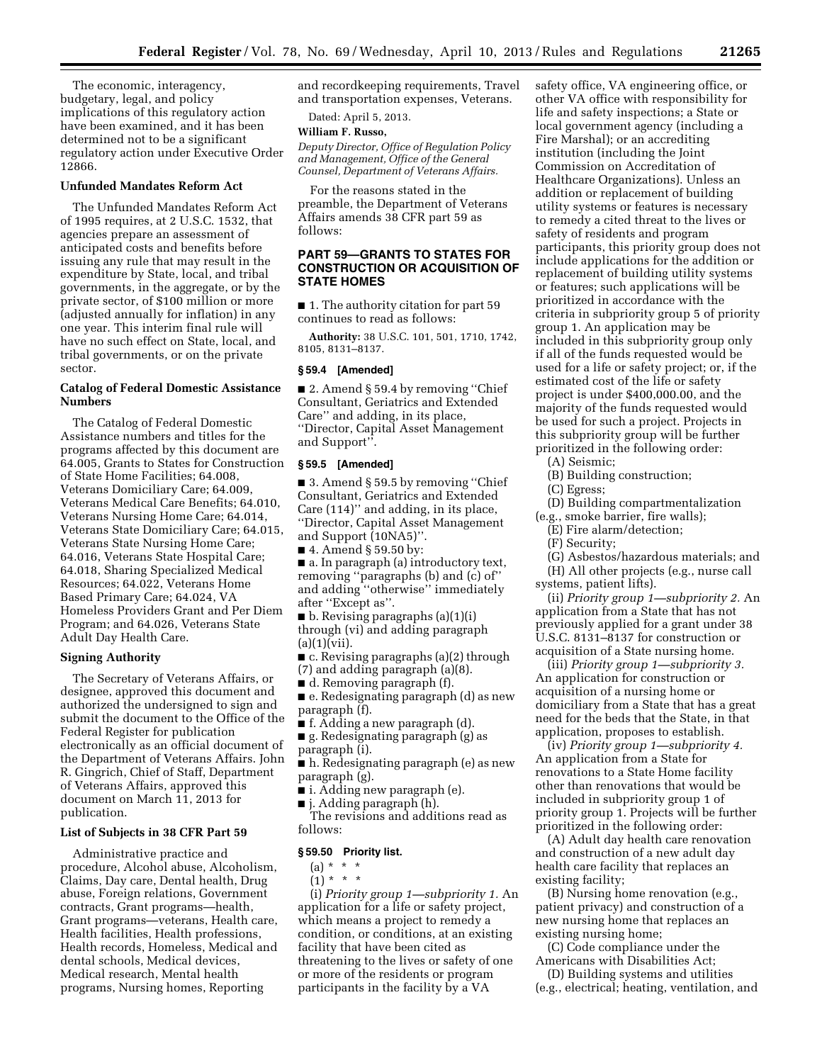The economic, interagency, budgetary, legal, and policy implications of this regulatory action have been examined, and it has been determined not to be a significant regulatory action under Executive Order 12866.

## **Unfunded Mandates Reform Act**

The Unfunded Mandates Reform Act of 1995 requires, at 2 U.S.C. 1532, that agencies prepare an assessment of anticipated costs and benefits before issuing any rule that may result in the expenditure by State, local, and tribal governments, in the aggregate, or by the private sector, of \$100 million or more (adjusted annually for inflation) in any one year. This interim final rule will have no such effect on State, local, and tribal governments, or on the private sector.

## **Catalog of Federal Domestic Assistance Numbers**

The Catalog of Federal Domestic Assistance numbers and titles for the programs affected by this document are 64.005, Grants to States for Construction of State Home Facilities; 64.008, Veterans Domiciliary Care; 64.009, Veterans Medical Care Benefits; 64.010, Veterans Nursing Home Care; 64.014, Veterans State Domiciliary Care; 64.015, Veterans State Nursing Home Care; 64.016, Veterans State Hospital Care; 64.018, Sharing Specialized Medical Resources; 64.022, Veterans Home Based Primary Care; 64.024, VA Homeless Providers Grant and Per Diem Program; and 64.026, Veterans State Adult Day Health Care.

#### **Signing Authority**

The Secretary of Veterans Affairs, or designee, approved this document and authorized the undersigned to sign and submit the document to the Office of the Federal Register for publication electronically as an official document of the Department of Veterans Affairs. John R. Gingrich, Chief of Staff, Department of Veterans Affairs, approved this document on March 11, 2013 for publication.

# **List of Subjects in 38 CFR Part 59**

Administrative practice and procedure, Alcohol abuse, Alcoholism, Claims, Day care, Dental health, Drug abuse, Foreign relations, Government contracts, Grant programs—health, Grant programs—veterans, Health care, Health facilities, Health professions, Health records, Homeless, Medical and dental schools, Medical devices, Medical research, Mental health programs, Nursing homes, Reporting

and recordkeeping requirements, Travel and transportation expenses, Veterans.

Dated: April 5, 2013.

# **William F. Russo,**

*Deputy Director, Office of Regulation Policy and Management, Office of the General Counsel, Department of Veterans Affairs.* 

For the reasons stated in the preamble, the Department of Veterans Affairs amends 38 CFR part 59 as follows:

# **PART 59—GRANTS TO STATES FOR CONSTRUCTION OR ACQUISITION OF STATE HOMES**

■ 1. The authority citation for part 59 continues to read as follows:

**Authority:** 38 U.S.C. 101, 501, 1710, 1742, 8105, 8131–8137.

#### **§ 59.4 [Amended]**

■ 2. Amend § 59.4 by removing "Chief Consultant, Geriatrics and Extended Care'' and adding, in its place, ''Director, Capital Asset Management and Support''.

#### **§ 59.5 [Amended]**

■ 3. Amend § 59.5 by removing "Chief Consultant, Geriatrics and Extended Care (114)'' and adding, in its place, ''Director, Capital Asset Management and Support (10NA5)''.

■ 4. Amend § 59.50 by:

■ a. In paragraph (a) introductory text, removing ''paragraphs (b) and (c) of'' and adding ''otherwise'' immediately after ''Except as''.

 $\blacksquare$  b. Revising paragraphs (a)(1)(i) through (vi) and adding paragraph  $(a)(1)(vii)$ .

■ c. Revising paragraphs (a)(2) through (7) and adding paragraph (a)(8).

■ d. Removing paragraph (f).

■ e. Redesignating paragraph (d) as new paragraph (f).

■ f. Adding a new paragraph (d).

■ g. Redesignating paragraph (g) as paragraph (i).

■ h. Redesignating paragraph (e) as new paragraph (g).

■ i. Adding new paragraph (e).

■ j. Adding paragraph (h).

The revisions and additions read as follows:

## **§ 59.50 Priority list.**

 $(a) * * * *$ 

 $(1) * * * *$ 

(i) *Priority group 1—subpriority 1.* An application for a life or safety project, which means a project to remedy a condition, or conditions, at an existing facility that have been cited as threatening to the lives or safety of one or more of the residents or program participants in the facility by a VA

safety office, VA engineering office, or other VA office with responsibility for life and safety inspections; a State or local government agency (including a Fire Marshal); or an accrediting institution (including the Joint Commission on Accreditation of Healthcare Organizations). Unless an addition or replacement of building utility systems or features is necessary to remedy a cited threat to the lives or safety of residents and program participants, this priority group does not include applications for the addition or replacement of building utility systems or features; such applications will be prioritized in accordance with the criteria in subpriority group 5 of priority group 1. An application may be included in this subpriority group only if all of the funds requested would be used for a life or safety project; or, if the estimated cost of the life or safety project is under \$400,000.00, and the majority of the funds requested would be used for such a project. Projects in this subpriority group will be further prioritized in the following order:

(A) Seismic;

(B) Building construction;

(C) Egress;

(D) Building compartmentalization

(e.g., smoke barrier, fire walls);

(E) Fire alarm/detection;

(F) Security;

(G) Asbestos/hazardous materials; and

(H) All other projects (e.g., nurse call systems, patient lifts).

(ii) *Priority group 1—subpriority 2.* An application from a State that has not previously applied for a grant under 38 U.S.C. 8131–8137 for construction or acquisition of a State nursing home.

(iii) *Priority group 1—subpriority 3.*  An application for construction or acquisition of a nursing home or domiciliary from a State that has a great need for the beds that the State, in that application, proposes to establish.

(iv) *Priority group 1—subpriority 4.*  An application from a State for renovations to a State Home facility other than renovations that would be included in subpriority group 1 of priority group 1. Projects will be further prioritized in the following order:

(A) Adult day health care renovation and construction of a new adult day health care facility that replaces an existing facility;

(B) Nursing home renovation (e.g., patient privacy) and construction of a new nursing home that replaces an existing nursing home;

(C) Code compliance under the Americans with Disabilities Act;

(D) Building systems and utilities (e.g., electrical; heating, ventilation, and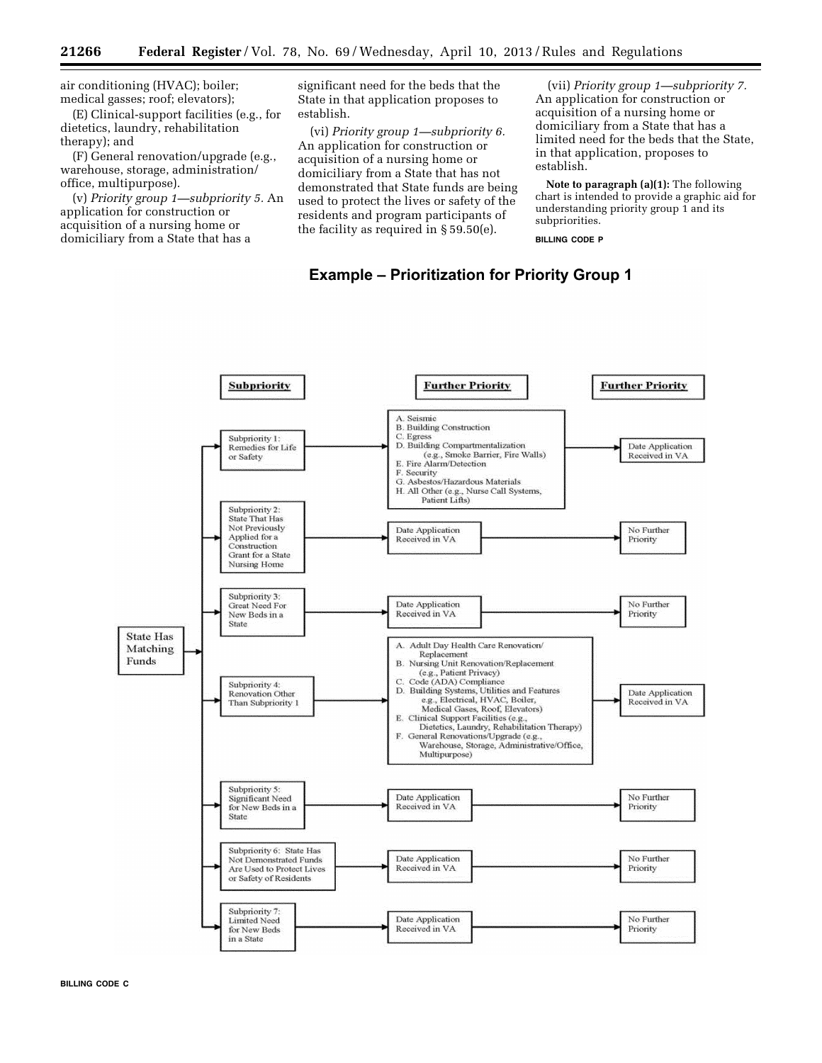air conditioning (HVAC); boiler; medical gasses; roof; elevators);

(E) Clinical-support facilities (e.g., for dietetics, laundry, rehabilitation therapy); and

(F) General renovation/upgrade (e.g., warehouse, storage, administration/ office, multipurpose).

(v) *Priority group 1—subpriority 5.* An application for construction or acquisition of a nursing home or domiciliary from a State that has a

significant need for the beds that the State in that application proposes to establish.

(vi) *Priority group 1—subpriority 6.*  An application for construction or acquisition of a nursing home or domiciliary from a State that has not demonstrated that State funds are being used to protect the lives or safety of the residents and program participants of the facility as required in § 59.50(e).

(vii) *Priority group 1—subpriority 7.*  An application for construction or acquisition of a nursing home or domiciliary from a State that has a limited need for the beds that the State, in that application, proposes to establish.

**Note to paragraph (a)(1):** The following chart is intended to provide a graphic aid for understanding priority group 1 and its subpriorities.

**BILLING CODE P** 



# **Example - Prioritization for Priority Group 1**